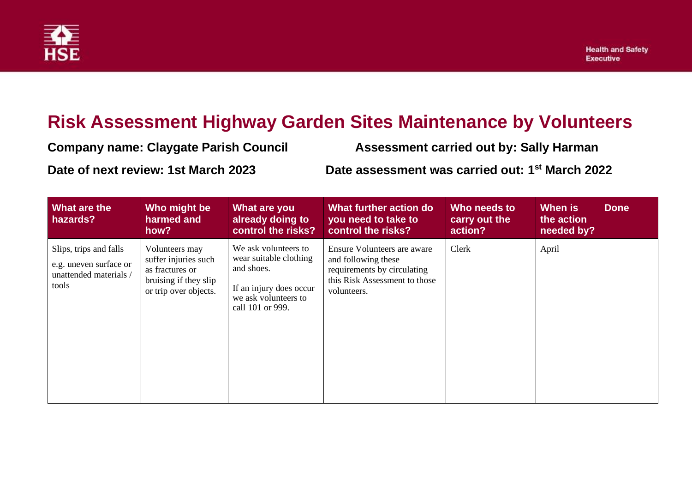

## **Risk Assessment Highway Garden Sites Maintenance by Volunteers**

| <b>Company name: Claygate Parish Council</b> | <b>Assessment carried out by: Sally Harman</b>              |
|----------------------------------------------|-------------------------------------------------------------|
| Date of next review: 1st March 2023          | Date assessment was carried out: 1 <sup>st</sup> March 2022 |

| What are the<br>hazards?                                                            | Who might be<br>harmed and<br>how?                                                                          | What are you<br>already doing to<br>control the risks?                                                                              | What further action do<br>you need to take to<br>control the risks?                                                               | Who needs to<br>carry out the<br>action? | When is<br>the action<br>needed by? | <b>Done</b> |
|-------------------------------------------------------------------------------------|-------------------------------------------------------------------------------------------------------------|-------------------------------------------------------------------------------------------------------------------------------------|-----------------------------------------------------------------------------------------------------------------------------------|------------------------------------------|-------------------------------------|-------------|
| Slips, trips and falls<br>e.g. uneven surface or<br>unattended materials /<br>tools | Volunteers may<br>suffer injuries such<br>as fractures or<br>bruising if they slip<br>or trip over objects. | We ask volunteers to<br>wear suitable clothing<br>and shoes.<br>If an injury does occur<br>we ask volunteers to<br>call 101 or 999. | Ensure Volunteers are aware<br>and following these<br>requirements by circulating<br>this Risk Assessment to those<br>volunteers. | Clerk                                    | April                               |             |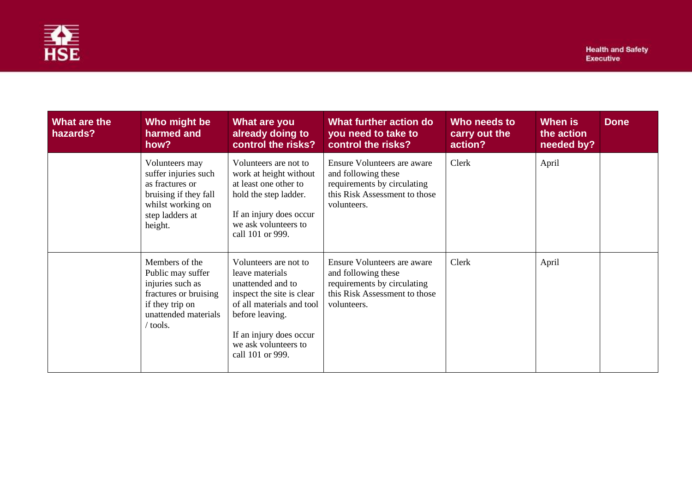

| What are the<br>hazards? | Who might be<br>harmed and<br>how?                                                                                                    | What are you<br>already doing to<br>control the risks?                                                                                                                                                            | What further action do<br>you need to take to<br>control the risks?                                                               | Who needs to<br>carry out the<br>action? | When is<br>the action<br>needed by? | <b>Done</b> |
|--------------------------|---------------------------------------------------------------------------------------------------------------------------------------|-------------------------------------------------------------------------------------------------------------------------------------------------------------------------------------------------------------------|-----------------------------------------------------------------------------------------------------------------------------------|------------------------------------------|-------------------------------------|-------------|
|                          | Volunteers may<br>suffer injuries such<br>as fractures or<br>bruising if they fall<br>whilst working on<br>step ladders at<br>height. | Volunteers are not to<br>work at height without<br>at least one other to<br>hold the step ladder.<br>If an injury does occur<br>we ask volunteers to<br>call 101 or 999.                                          | Ensure Volunteers are aware<br>and following these<br>requirements by circulating<br>this Risk Assessment to those<br>volunteers. | Clerk                                    | April                               |             |
|                          | Members of the<br>Public may suffer<br>injuries such as<br>fractures or bruising<br>if they trip on<br>unattended materials<br>tools. | Volunteers are not to<br>leave materials<br>unattended and to<br>inspect the site is clear<br>of all materials and tool<br>before leaving.<br>If an injury does occur<br>we ask volunteers to<br>call 101 or 999. | Ensure Volunteers are aware<br>and following these<br>requirements by circulating<br>this Risk Assessment to those<br>volunteers. | Clerk                                    | April                               |             |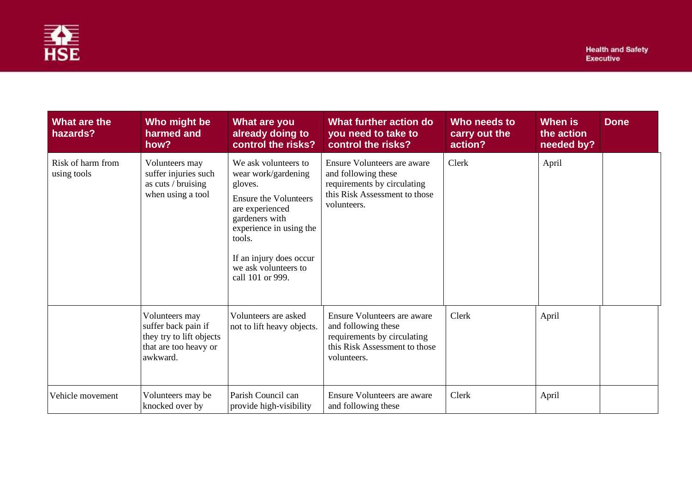

| What are the<br>hazards?         | Who might be<br>harmed and<br>how?                                                                     | What are you<br>already doing to<br>control the risks?                                                                                                                                                                                  | What further action do<br>you need to take to<br>control the risks?                                                               | Who needs to<br>carry out the<br>action? | <b>When is</b><br>the action<br>needed by? | <b>Done</b> |
|----------------------------------|--------------------------------------------------------------------------------------------------------|-----------------------------------------------------------------------------------------------------------------------------------------------------------------------------------------------------------------------------------------|-----------------------------------------------------------------------------------------------------------------------------------|------------------------------------------|--------------------------------------------|-------------|
| Risk of harm from<br>using tools | Volunteers may<br>suffer injuries such<br>as cuts / bruising<br>when using a tool                      | We ask volunteers to<br>wear work/gardening<br>gloves.<br><b>Ensure the Volunteers</b><br>are experienced<br>gardeners with<br>experience in using the<br>tools.<br>If an injury does occur<br>we ask volunteers to<br>call 101 or 999. | Ensure Volunteers are aware<br>and following these<br>requirements by circulating<br>this Risk Assessment to those<br>volunteers. | Clerk                                    | April                                      |             |
|                                  | Volunteers may<br>suffer back pain if<br>they try to lift objects<br>that are too heavy or<br>awkward. | Volunteers are asked<br>not to lift heavy objects.                                                                                                                                                                                      | Ensure Volunteers are aware<br>and following these<br>requirements by circulating<br>this Risk Assessment to those<br>volunteers. | Clerk                                    | April                                      |             |
| Vehicle movement                 | Volunteers may be<br>knocked over by                                                                   | Parish Council can<br>provide high-visibility                                                                                                                                                                                           | Ensure Volunteers are aware<br>and following these                                                                                | Clerk                                    | April                                      |             |